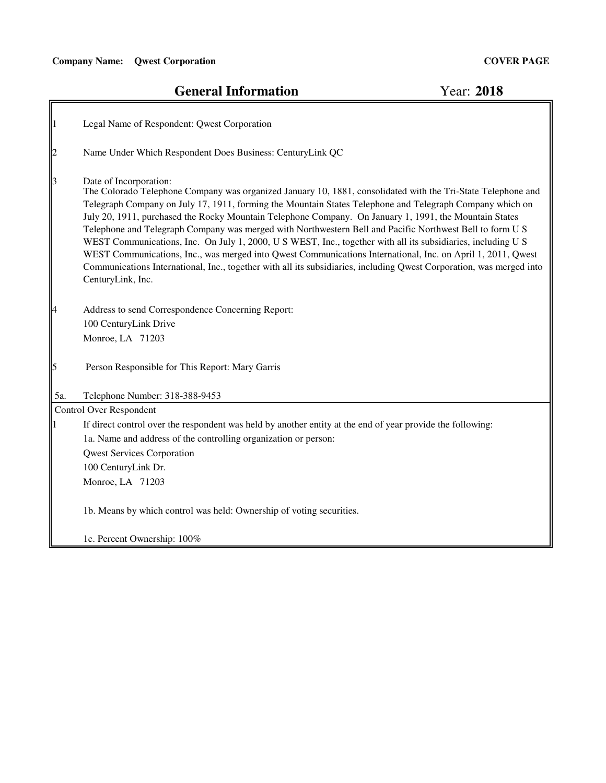$\mathbb{F}$ 

# **General Information**

Year: **2018**

| $\vert$ 1                             | Legal Name of Respondent: Qwest Corporation                                                                                                                                                                                                                                                                                                                                                                                                                                                                                                                                                                                                                                                                                                                                                                                                          |
|---------------------------------------|------------------------------------------------------------------------------------------------------------------------------------------------------------------------------------------------------------------------------------------------------------------------------------------------------------------------------------------------------------------------------------------------------------------------------------------------------------------------------------------------------------------------------------------------------------------------------------------------------------------------------------------------------------------------------------------------------------------------------------------------------------------------------------------------------------------------------------------------------|
| $\begin{array}{c} 2 \\ 3 \end{array}$ | Name Under Which Respondent Does Business: CenturyLink QC                                                                                                                                                                                                                                                                                                                                                                                                                                                                                                                                                                                                                                                                                                                                                                                            |
| $\begin{bmatrix} 4 \end{bmatrix}$     | Date of Incorporation:<br>The Colorado Telephone Company was organized January 10, 1881, consolidated with the Tri-State Telephone and<br>Telegraph Company on July 17, 1911, forming the Mountain States Telephone and Telegraph Company which on<br>July 20, 1911, purchased the Rocky Mountain Telephone Company. On January 1, 1991, the Mountain States<br>Telephone and Telegraph Company was merged with Northwestern Bell and Pacific Northwest Bell to form U S<br>WEST Communications, Inc. On July 1, 2000, U S WEST, Inc., together with all its subsidiaries, including U S<br>WEST Communications, Inc., was merged into Qwest Communications International, Inc. on April 1, 2011, Qwest<br>Communications International, Inc., together with all its subsidiaries, including Qwest Corporation, was merged into<br>CenturyLink, Inc. |
|                                       | Address to send Correspondence Concerning Report:                                                                                                                                                                                                                                                                                                                                                                                                                                                                                                                                                                                                                                                                                                                                                                                                    |
|                                       | 100 CenturyLink Drive                                                                                                                                                                                                                                                                                                                                                                                                                                                                                                                                                                                                                                                                                                                                                                                                                                |
|                                       | Monroe, LA 71203                                                                                                                                                                                                                                                                                                                                                                                                                                                                                                                                                                                                                                                                                                                                                                                                                                     |
| $\overline{5}$                        | Person Responsible for This Report: Mary Garris                                                                                                                                                                                                                                                                                                                                                                                                                                                                                                                                                                                                                                                                                                                                                                                                      |
| 5a.                                   | Telephone Number: 318-388-9453                                                                                                                                                                                                                                                                                                                                                                                                                                                                                                                                                                                                                                                                                                                                                                                                                       |
|                                       | <b>Control Over Respondent</b>                                                                                                                                                                                                                                                                                                                                                                                                                                                                                                                                                                                                                                                                                                                                                                                                                       |
|                                       | If direct control over the respondent was held by another entity at the end of year provide the following:                                                                                                                                                                                                                                                                                                                                                                                                                                                                                                                                                                                                                                                                                                                                           |
|                                       | 1a. Name and address of the controlling organization or person:                                                                                                                                                                                                                                                                                                                                                                                                                                                                                                                                                                                                                                                                                                                                                                                      |
|                                       | <b>Qwest Services Corporation</b>                                                                                                                                                                                                                                                                                                                                                                                                                                                                                                                                                                                                                                                                                                                                                                                                                    |
|                                       | 100 CenturyLink Dr.                                                                                                                                                                                                                                                                                                                                                                                                                                                                                                                                                                                                                                                                                                                                                                                                                                  |
|                                       | Monroe, LA 71203                                                                                                                                                                                                                                                                                                                                                                                                                                                                                                                                                                                                                                                                                                                                                                                                                                     |
|                                       | 1b. Means by which control was held: Ownership of voting securities.                                                                                                                                                                                                                                                                                                                                                                                                                                                                                                                                                                                                                                                                                                                                                                                 |
|                                       | 1c. Percent Ownership: 100%                                                                                                                                                                                                                                                                                                                                                                                                                                                                                                                                                                                                                                                                                                                                                                                                                          |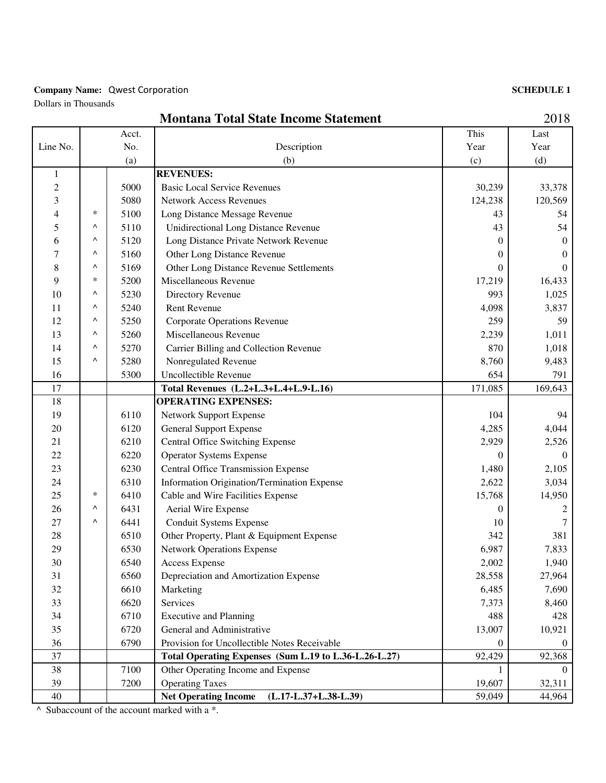#### **Company Name: Qwest Corporation**

Dollars in Thousands

| <b>SCHEDULE 1</b> |  |
|-------------------|--|
|-------------------|--|

|                |     |       | <b>Montana Total State Income Statement</b>            |          | 2018           |
|----------------|-----|-------|--------------------------------------------------------|----------|----------------|
|                |     | Acct. |                                                        | This     | Last           |
| Line No.       | No. |       | Description                                            | Year     | Year           |
|                | (a) |       | (b)                                                    | (c)      | (d)            |
| 1              |     |       | <b>REVENUES:</b>                                       |          |                |
| $\overline{c}$ |     | 5000  | <b>Basic Local Service Revenues</b>                    | 30,239   | 33,378         |
| 3              |     | 5080  | <b>Network Access Revenues</b>                         | 124,238  | 120,569        |
| 4              | *   | 5100  | Long Distance Message Revenue                          | 43       | 54             |
| 5              | ۸   | 5110  | <b>Unidirectional Long Distance Revenue</b>            | 43       | 54             |
| 6              | Λ   | 5120  | Long Distance Private Network Revenue                  | 0        | $\mathbf{0}$   |
| 7              | Λ   | 5160  | Other Long Distance Revenue                            | 0        | $\theta$       |
| 8              | Λ   | 5169  | Other Long Distance Revenue Settlements                | 0        | $\theta$       |
| 9              | *   | 5200  | Miscellaneous Revenue                                  | 17,219   | 16,433         |
| 10             | ۸   | 5230  | Directory Revenue                                      | 993      | 1,025          |
| 11             | ۸   | 5240  | <b>Rent Revenue</b>                                    | 4,098    | 3,837          |
| 12             | ٨   | 5250  | <b>Corporate Operations Revenue</b>                    | 259      | 59             |
| 13             | ٨   | 5260  | Miscellaneous Revenue                                  | 2,239    | 1,011          |
| 14             | ٨   | 5270  | Carrier Billing and Collection Revenue                 | 870      | 1,018          |
| 15             | ٨   | 5280  | Nonregulated Revenue                                   | 8,760    | 9,483          |
| 16             |     | 5300  | Uncollectible Revenue                                  | 654      | 791            |
| 17             |     |       | Total Revenues (L.2+L.3+L.4+L.9-L.16)                  | 171,085  | 169,643        |
| 18             |     |       | <b>OPERATING EXPENSES:</b>                             |          |                |
| 19             |     | 6110  | <b>Network Support Expense</b>                         | 104      | 94             |
| 20             |     | 6120  | <b>General Support Expense</b>                         | 4,285    | 4,044          |
| 21             |     | 6210  | <b>Central Office Switching Expense</b>                | 2,929    | 2,526          |
| 22             |     | 6220  | <b>Operator Systems Expense</b>                        | $\Omega$ | $\Omega$       |
| 23             |     | 6230  | <b>Central Office Transmission Expense</b>             | 1,480    | 2,105          |
| 24             |     | 6310  | Information Origination/Termination Expense            | 2,622    | 3,034          |
| 25             | *   | 6410  | Cable and Wire Facilities Expense                      | 15,768   | 14,950         |
| 26             | Λ   | 6431  | Aerial Wire Expense                                    | $\theta$ | 2              |
| $27\,$         | Λ   | 6441  | Conduit Systems Expense                                | 10       | 7              |
| 28             |     | 6510  | Other Property, Plant & Equipment Expense              | 342      | 381            |
| 29             |     | 6530  | <b>Network Operations Expense</b>                      | 6,987    | 7,833          |
| 30             |     | 6540  | Access Expense                                         | 2,002    | 1,940          |
| 31             |     | 6560  | Depreciation and Amortization Expense                  | 28,558   | 27,964         |
| 32             |     | 6610  | Marketing                                              | 6,485    | 7,690          |
| 33             |     | 6620  | Services                                               | 7,373    | 8,460          |
| 34             |     | 6710  | <b>Executive and Planning</b>                          | 488      | 428            |
| 35             |     | 6720  | General and Administrative                             | 13,007   | 10,921         |
| 36             |     | 6790  | Provision for Uncollectible Notes Receivable           | 0        | $\overline{0}$ |
| 37             |     |       | Total Operating Expenses (Sum L.19 to L.36-L.26-L.27)  | 92,429   | 92,368         |
| 38             |     | 7100  | Other Operating Income and Expense                     | 1        | $\Omega$       |
| 39             |     | 7200  | <b>Operating Taxes</b>                                 | 19,607   | 32,311         |
| 40             |     |       | <b>Net Operating Income</b><br>$(L.17-L.37+L.38-L.39)$ | 59,049   | 44,964         |

 $\land$  Subaccount of the account marked with a  $*$ .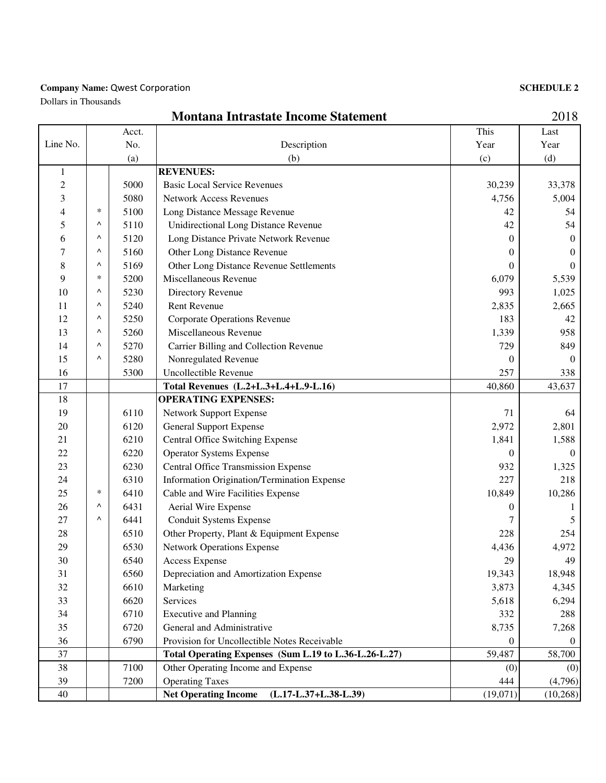#### **Company Name: Qwest Corporation**

Dollars in Thousands

### **SCHEDULE 2**

|                |        |       | <b>Montana Intrastate Income Statement</b>             |          | 2018     |
|----------------|--------|-------|--------------------------------------------------------|----------|----------|
|                |        | Acct. |                                                        | This     | Last     |
| Line No.       |        | No.   | Description                                            | Year     | Year     |
|                |        | (a)   | (b)                                                    | (c)      | (d)      |
| $\mathbf{1}$   |        |       | <b>REVENUES:</b>                                       |          |          |
| $\overline{c}$ |        | 5000  | <b>Basic Local Service Revenues</b>                    | 30,239   | 33,378   |
| 3              |        | 5080  | <b>Network Access Revenues</b>                         | 4,756    | 5,004    |
| 4              | $\ast$ | 5100  | Long Distance Message Revenue                          | 42       | 54       |
| 5              | Λ      | 5110  | <b>Unidirectional Long Distance Revenue</b>            | 42       | 54       |
| 6              | Λ      | 5120  | Long Distance Private Network Revenue                  | $\Omega$ | $\theta$ |
| 7              | Λ      | 5160  | Other Long Distance Revenue                            | 0        | $\theta$ |
| 8              | Λ      | 5169  | Other Long Distance Revenue Settlements                | 0        | $\Omega$ |
| 9              | $\ast$ | 5200  | Miscellaneous Revenue                                  | 6,079    | 5,539    |
| 10             | Λ      | 5230  | Directory Revenue                                      | 993      | 1,025    |
| 11             | ٨      | 5240  | <b>Rent Revenue</b>                                    | 2,835    | 2,665    |
| 12             | Λ      | 5250  | <b>Corporate Operations Revenue</b>                    | 183      | 42       |
| 13             | Λ      | 5260  | Miscellaneous Revenue                                  | 1,339    | 958      |
| 14             | ٨      | 5270  | Carrier Billing and Collection Revenue                 | 729      | 849      |
| 15             | Λ      | 5280  | Nonregulated Revenue                                   | 0        | $\Omega$ |
| 16             |        | 5300  | Uncollectible Revenue                                  | 257      | 338      |
| 17             |        |       | Total Revenues (L.2+L.3+L.4+L.9-L.16)                  | 40,860   | 43,637   |
| 18             |        |       | <b>OPERATING EXPENSES:</b>                             |          |          |
| 19             |        | 6110  | Network Support Expense                                | 71       | 64       |
| 20             |        | 6120  | <b>General Support Expense</b>                         | 2,972    | 2,801    |
| 21             |        | 6210  | <b>Central Office Switching Expense</b>                | 1,841    | 1,588    |
| 22             |        | 6220  | <b>Operator Systems Expense</b>                        | $\theta$ | $\Omega$ |
| 23             |        | 6230  | <b>Central Office Transmission Expense</b>             | 932      | 1,325    |
| 24             |        | 6310  | Information Origination/Termination Expense            | 227      | 218      |
| 25             | ∗      | 6410  | Cable and Wire Facilities Expense                      | 10,849   | 10,286   |
| 26             | ٨      | 6431  | Aerial Wire Expense                                    | 0        |          |
| 27             | ٨      | 6441  | Conduit Systems Expense                                | 7        | 5        |
| 28             |        | 6510  | Other Property, Plant & Equipment Expense              | 228      | 254      |
| 29             |        | 6530  | <b>Network Operations Expense</b>                      | 4,436    | 4,972    |
| 30             |        | 6540  | <b>Access Expense</b>                                  | 29       | 49       |
| 31             |        | 6560  | Depreciation and Amortization Expense                  | 19,343   | 18,948   |
| 32             |        | 6610  | Marketing                                              | 3,873    | 4,345    |
| 33             |        | 6620  | Services                                               | 5,618    | 6,294    |
| 34             |        | 6710  | <b>Executive and Planning</b>                          | 332      | 288      |
| 35             |        | 6720  | General and Administrative                             | 8,735    | 7,268    |
| 36             |        | 6790  | Provision for Uncollectible Notes Receivable           | 0        | $\theta$ |
| 37             |        |       | Total Operating Expenses (Sum L.19 to L.36-L.26-L.27)  | 59,487   | 58,700   |
| 38             |        | 7100  | Other Operating Income and Expense                     | (0)      | (0)      |
| 39             |        | 7200  | <b>Operating Taxes</b>                                 | 444      | (4,796)  |
| 40             |        |       | <b>Net Operating Income</b><br>$(L.17-L.37+L.38-L.39)$ | (19,071) | (10,268) |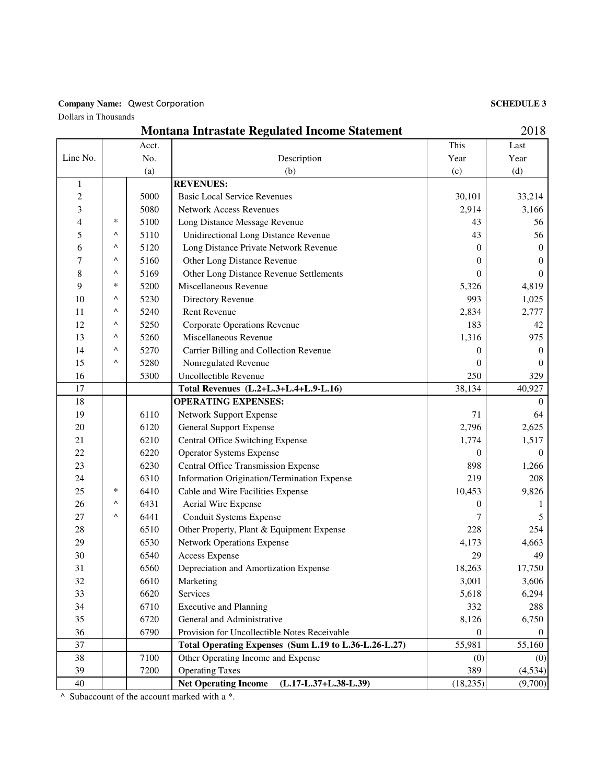#### Company Name: Qwest Corporation

Dollars in Thousands

#### **SCHEDULE 3**

|                | 2018<br><b>Montana Intrastate Regulated Income Statement</b> |       |                                                        |                  |              |
|----------------|--------------------------------------------------------------|-------|--------------------------------------------------------|------------------|--------------|
|                |                                                              | Acct. |                                                        | This             | Last         |
| Line No.       | No.                                                          |       | Description                                            | Year             | Year         |
|                |                                                              | (a)   | (b)                                                    | (c)              | (d)          |
| $\mathbf{1}$   |                                                              |       | <b>REVENUES:</b>                                       |                  |              |
| $\overline{c}$ |                                                              | 5000  | <b>Basic Local Service Revenues</b>                    | 30,101           | 33,214       |
| 3              |                                                              | 5080  | <b>Network Access Revenues</b>                         | 2,914            | 3,166        |
| $\overline{4}$ | $\ast$                                                       | 5100  | Long Distance Message Revenue                          | 43               | 56           |
| 5              | $\wedge$                                                     | 5110  | <b>Unidirectional Long Distance Revenue</b>            | 43               | 56           |
| 6              | Λ                                                            | 5120  | Long Distance Private Network Revenue                  | 0                | $\theta$     |
| 7              | ۸                                                            | 5160  | Other Long Distance Revenue                            | 0                | $\mathbf{0}$ |
| 8              | Λ                                                            | 5169  | Other Long Distance Revenue Settlements                | $\boldsymbol{0}$ | $\mathbf{0}$ |
| 9              | $\ast$                                                       | 5200  | Miscellaneous Revenue                                  | 5,326            | 4,819        |
| 10             | Λ                                                            | 5230  | Directory Revenue                                      | 993              | 1,025        |
| 11             | ۸                                                            | 5240  | Rent Revenue                                           | 2,834            | 2,777        |
| 12             | Λ                                                            | 5250  | <b>Corporate Operations Revenue</b>                    | 183              | 42           |
| 13             | Λ                                                            | 5260  | Miscellaneous Revenue                                  | 1,316            | 975          |
| 14             | Λ                                                            | 5270  | Carrier Billing and Collection Revenue                 | 0                | $\theta$     |
| 15             | Λ                                                            | 5280  | Nonregulated Revenue                                   | 0                | $\theta$     |
| 16             |                                                              | 5300  | Uncollectible Revenue                                  | 250              | 329          |
| 17             |                                                              |       | Total Revenues (L.2+L.3+L.4+L.9-L.16)                  | 38,134           | 40,927       |
| 18             |                                                              |       | <b>OPERATING EXPENSES:</b>                             |                  | $\Omega$     |
| 19             |                                                              | 6110  | Network Support Expense                                | 71               | 64           |
| 20             |                                                              | 6120  | <b>General Support Expense</b>                         | 2,796            | 2,625        |
| 21             |                                                              | 6210  | Central Office Switching Expense                       | 1,774            | 1,517        |
| 22             |                                                              | 6220  | <b>Operator Systems Expense</b>                        | 0                | $\theta$     |
| 23             |                                                              | 6230  | <b>Central Office Transmission Expense</b>             | 898              | 1,266        |
| 24             |                                                              | 6310  | Information Origination/Termination Expense            | 219              | 208          |
| 25             | $\ast$                                                       | 6410  | Cable and Wire Facilities Expense                      | 10,453           | 9,826        |
| 26             | Λ                                                            | 6431  | Aerial Wire Expense                                    | $\theta$         |              |
| 27             | $\wedge$                                                     | 6441  | <b>Conduit Systems Expense</b>                         | 7                | 5            |
| 28             |                                                              | 6510  | Other Property, Plant & Equipment Expense              | 228              | 254          |
| 29             |                                                              | 6530  | <b>Network Operations Expense</b>                      | 4,173            | 4,663        |
| 30             |                                                              | 6540  | <b>Access Expense</b>                                  | 29               | 49           |
| 31             |                                                              | 6560  | Depreciation and Amortization Expense                  | 18,263           | 17,750       |
| 32             |                                                              | 6610  | Marketing                                              | 3,001            | 3,606        |
| 33             |                                                              | 6620  | Services                                               | 5,618            | 6,294        |
| 34             |                                                              | 6710  | <b>Executive and Planning</b>                          | 332              | 288          |
| 35             |                                                              | 6720  | General and Administrative                             | 8,126            | 6,750        |
| 36             |                                                              | 6790  | Provision for Uncollectible Notes Receivable           | 0                | $\theta$     |
| 37             |                                                              |       | Total Operating Expenses (Sum L.19 to L.36-L.26-L.27)  | 55,981           | 55,160       |
| 38             |                                                              | 7100  | Other Operating Income and Expense                     | (0)              | (0)          |
| 39             |                                                              | 7200  | <b>Operating Taxes</b>                                 | 389              | (4,534)      |
| 40             |                                                              |       | <b>Net Operating Income</b><br>$(L.17-L.37+L.38-L.39)$ | (18, 235)        | (9,700)      |

^ Subaccount of the account marked with a \*.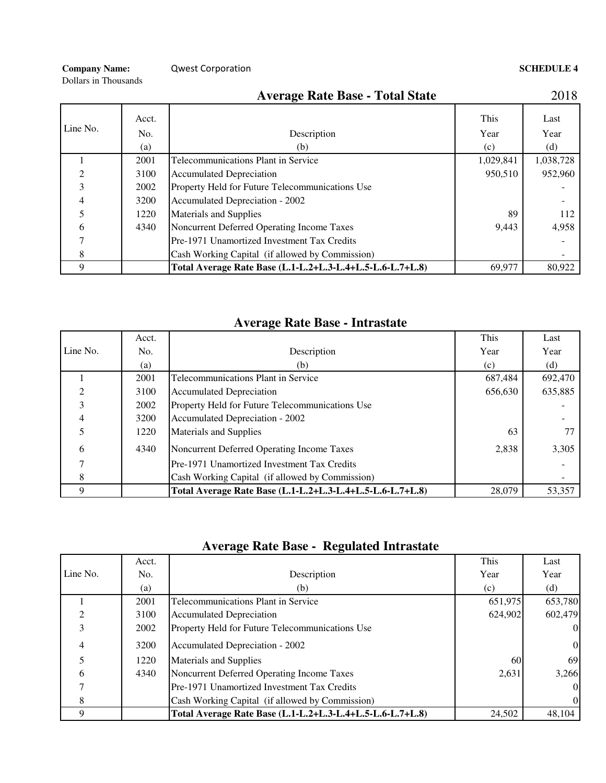**Company Name:** Composed Composed Composed Composed Composed Composed Composed Composed Composed Composed Composed Composed Composed Composed Composed Composed Composed Composed Composed Composed Composed Composed Composed

Dollars in Thousands

|                |       | <b>Average Rate Base - Total State</b>                    |           | 2018      |
|----------------|-------|-----------------------------------------------------------|-----------|-----------|
|                | Acct. |                                                           | This      | Last      |
| Line No.       | No.   | Description                                               | Year      | Year      |
|                | (a)   | (b)                                                       | (c)       | (d)       |
|                | 2001  | Telecommunications Plant in Service                       | 1,029,841 | 1,038,728 |
| $\mathfrak{D}$ | 3100  | <b>Accumulated Depreciation</b>                           | 950,510   | 952,960   |
| 3              | 2002  | Property Held for Future Telecommunications Use           |           |           |
| 4              | 3200  | Accumulated Depreciation - 2002                           |           |           |
| 5              | 1220  | Materials and Supplies                                    | 89        | 112       |
| 6              | 4340  | Noncurrent Deferred Operating Income Taxes                | 9,443     | 4,958     |
|                |       | Pre-1971 Unamortized Investment Tax Credits               |           |           |
| 8              |       | Cash Working Capital (if allowed by Commission)           |           |           |
| 9              |       | Total Average Rate Base (L.1-L.2+L.3-L.4+L.5-L.6-L.7+L.8) | 69,977    | 80,922    |

## **Average Rate Base - Intrastate**

|          | Acct. |                                                           | This    | Last    |
|----------|-------|-----------------------------------------------------------|---------|---------|
| Line No. | No.   | Description                                               | Year    | Year    |
|          | (a)   | (b)                                                       | (c)     | (d)     |
|          | 2001  | Telecommunications Plant in Service                       | 687,484 | 692,470 |
|          | 3100  | <b>Accumulated Depreciation</b>                           | 656,630 | 635,885 |
|          | 2002  | Property Held for Future Telecommunications Use           |         |         |
|          | 3200  | Accumulated Depreciation - 2002                           |         |         |
|          | 1220  | <b>Materials and Supplies</b>                             | 63      |         |
| 6        | 4340  | Noncurrent Deferred Operating Income Taxes                | 2.838   | 3,305   |
|          |       | Pre-1971 Unamortized Investment Tax Credits               |         |         |
| 8        |       | Cash Working Capital (if allowed by Commission)           |         |         |
| Q        |       | Total Average Rate Base (L.1-L.2+L.3-L.4+L.5-L.6-L.7+L.8) | 28,079  | 53,357  |

# **Average Rate Base - Regulated Intrastate**

|                | Acct. |                                                           | This      | Last         |
|----------------|-------|-----------------------------------------------------------|-----------|--------------|
| Line No.       | No.   | Description                                               | Year      | Year         |
|                | (a)   | (b)                                                       | (c)       | (d)          |
|                | 2001  | Telecommunications Plant in Service                       | 651,975   | 653,780      |
| ↑              | 3100  | Accumulated Depreciation                                  | 624.902   | 602,479      |
| 3              | 2002  | Property Held for Future Telecommunications Use           |           | $\mathbf{0}$ |
| $\overline{4}$ | 3200  | Accumulated Depreciation - 2002                           |           | $\mathbf{0}$ |
|                | 1220  | Materials and Supplies                                    | <b>60</b> | 69           |
| 6              | 4340  | Noncurrent Deferred Operating Income Taxes                | 2,631     | 3,266        |
|                |       | Pre-1971 Unamortized Investment Tax Credits               |           | $\mathbf{0}$ |
| 8              |       | Cash Working Capital (if allowed by Commission)           |           | $\mathbf{0}$ |
| Q              |       | Total Average Rate Base (L.1-L.2+L.3-L.4+L.5-L.6-L.7+L.8) | 24,502    | 48.104       |